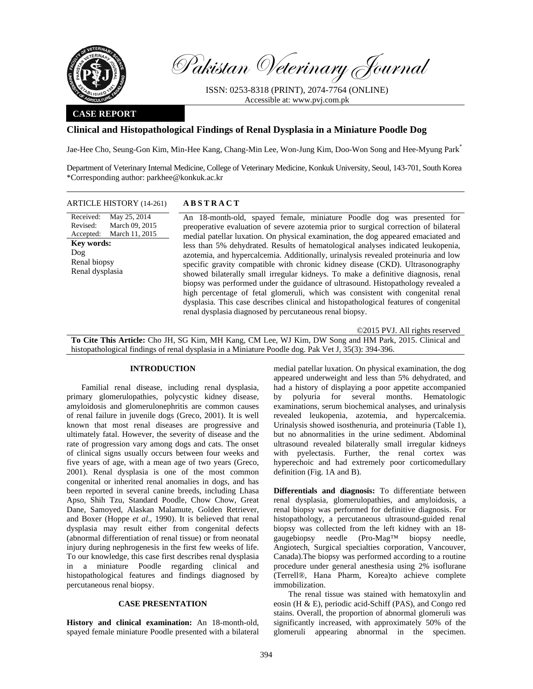

Pakistan Veterinary Journal

ISSN: 0253-8318 (PRINT), 2074-7764 (ONLINE) Accessible at: www.pvj.com.pk

## **CASE REPORT**

## **Clinical and Histopathological Findings of Renal Dysplasia in a Miniature Poodle Dog**

Jae-Hee Cho, Seung-Gon Kim, Min-Hee Kang, Chang-Min Lee, Won-Jung Kim, Doo-Won Song and Hee-Myung Park\*

Department of Veterinary Internal Medicine, College of Veterinary Medicine, Konkuk University, Seoul, 143-701, South Korea \*Corresponding author: parkhee@konkuk.ac.kr

### ARTICLE HISTORY (14-261) **ABSTRACT**

Received: Revised: Accepted: May 25, 2014 March 09, 2015 March 11, 2015 **Key words:**  Dog Renal biopsy Renal dysplasia

 An 18-month-old, spayed female, miniature Poodle dog was presented for preoperative evaluation of severe azotemia prior to surgical correction of bilateral medial patellar luxation. On physical examination, the dog appeared emaciated and less than 5% dehydrated. Results of hematological analyses indicated leukopenia, azotemia, and hypercalcemia. Additionally, urinalysis revealed proteinuria and low specific gravity compatible with chronic kidney disease (CKD). Ultrasonography showed bilaterally small irregular kidneys. To make a definitive diagnosis, renal biopsy was performed under the guidance of ultrasound. Histopathology revealed a high percentage of fetal glomeruli, which was consistent with congenital renal dysplasia. This case describes clinical and histopathological features of congenital renal dysplasia diagnosed by percutaneous renal biopsy.

©2015 PVJ. All rights reserved **To Cite This Article:** Cho JH, SG Kim, MH Kang, CM Lee, WJ Kim, DW Song and HM Park, 2015. Clinical and histopathological findings of renal dysplasia in a Miniature Poodle dog. Pak Vet J, 35(3): 394-396.

# **INTRODUCTION**

Familial renal disease, including renal dysplasia, primary glomerulopathies, polycystic kidney disease, amyloidosis and glomerulonephritis are common causes of renal failure in juvenile dogs (Greco, 2001). It is well known that most renal diseases are progressive and ultimately fatal. However, the severity of disease and the rate of progression vary among dogs and cats. The onset of clinical signs usually occurs between four weeks and five years of age, with a mean age of two years (Greco, 2001). Renal dysplasia is one of the most common congenital or inherited renal anomalies in dogs, and has been reported in several canine breeds, including Lhasa Apso, Shih Tzu, Standard Poodle, Chow Chow, Great Dane, Samoyed, Alaskan Malamute, Golden Retriever, and Boxer (Hoppe *et al*., 1990). It is believed that renal dysplasia may result either from congenital defects (abnormal differentiation of renal tissue) or from neonatal injury during nephrogenesis in the first few weeks of life. To our knowledge, this case first describes renal dysplasia in a miniature Poodle regarding clinical and histopathological features and findings diagnosed by percutaneous renal biopsy.

## **CASE PRESENTATION**

**History and clinical examination:** An 18-month-old, spayed female miniature Poodle presented with a bilateral

medial patellar luxation. On physical examination, the dog appeared underweight and less than 5% dehydrated, and had a history of displaying a poor appetite accompanied by polyuria for several months. Hematologic examinations, serum biochemical analyses, and urinalysis revealed leukopenia, azotemia, and hypercalcemia. Urinalysis showed isosthenuria, and proteinuria (Table 1), but no abnormalities in the urine sediment. Abdominal ultrasound revealed bilaterally small irregular kidneys with pyelectasis. Further, the renal cortex was hyperechoic and had extremely poor corticomedullary definition (Fig. 1A and B).

**Differentials and diagnosis:** To differentiate between renal dysplasia, glomerulopathies, and amyloidosis, a renal biopsy was performed for definitive diagnosis. For histopathology, a percutaneous ultrasound-guided renal biopsy was collected from the left kidney with an 18 gaugebiopsy needle (Pro-Mag™ biopsy needle, Angiotech, Surgical specialties corporation, Vancouver, Canada).The biopsy was performed according to a routine procedure under general anesthesia using 2% isoflurane (Terrell®, Hana Pharm, Korea)to achieve complete immobilization.

The renal tissue was stained with hematoxylin and eosin (H & E), periodic acid-Schiff (PAS), and Congo red stains. Overall, the proportion of abnormal glomeruli was significantly increased, with approximately 50% of the glomeruli appearing abnormal in the specimen.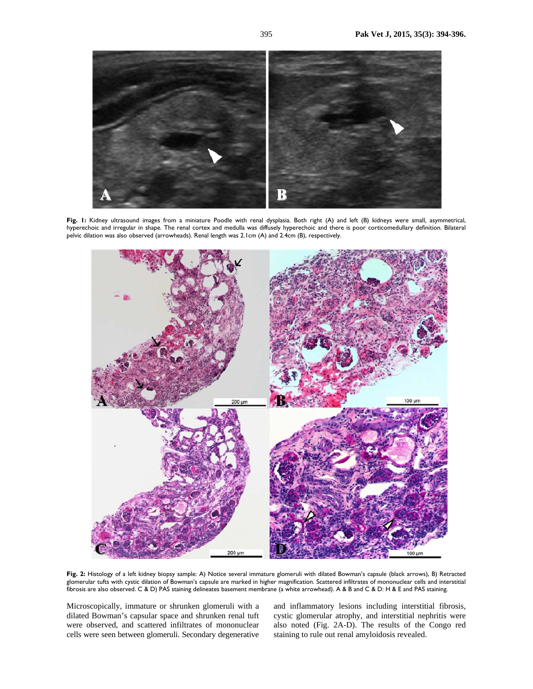

Fig. I: Kidney ultrasound images from a miniature Poodle with renal dysplasia. Both right (A) and left (B) kidneys were small, asymmetrical, hyperechoic and irregular in shape. The renal cortex and medulla was diffusely hyperechoic and there is poor corticomedullary definition. Bilateral pelvic dilation was also observed (arrowheads). Renal length was 2.1cm (A) and 2.4cm (B), respectively.



Fig. 2: Histology of a left kidney biopsy sample: A) Notice several immature glomeruli with dilated Bowman's capsule (black arrows), B) Retracted glomerular tufts with cystic dilation of Bowman's capsule are marked in higher magnification. Scattered infiltrates of mononuclear cells and interstitial fibrosis are also observed. C & D) PAS staining delineates basement membrane (a white arrowhead). A & B and C & D: H & E and PAS staining.

Microscopically, immature or shrunken glomeruli with a dilated Bowman's capsular space and shrunken renal tuft were observed, and scattered infiltrates of mononuclear cells were seen between glomeruli. Secondary degenerative

and inflammatory lesions including interstitial fibrosis, cystic glomerular atrophy, and interstitial nephritis were also noted (Fig. 2A-D). The results of the Congo red staining to rule out renal amyloidosis revealed.